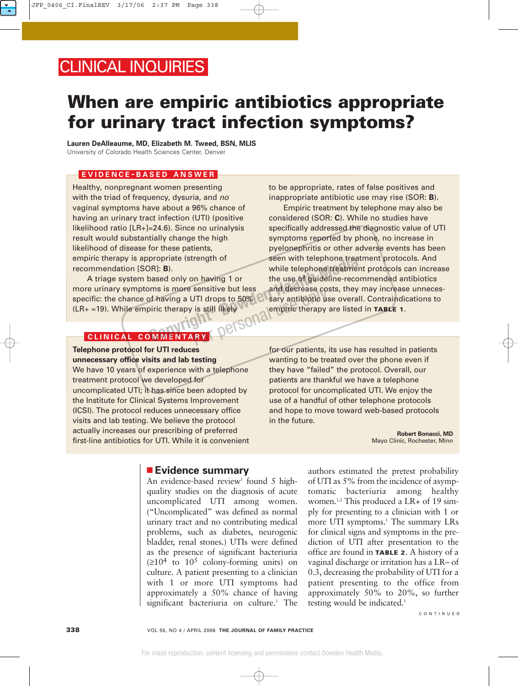## CLINICAL INQUIRIES

# **When are empiric antibiotics appropriate for urinary tract infection symptoms?**

**Lauren DeAlleaume, MD, Elizabeth M. Tweed, BSN, MLIS** University of Colorado Health Sciences Center, Denver

#### **EVIDENCE - BASED ANSWER**

Healthy, nonpregnant women presenting with the triad of frequency, dysuria, and no vaginal symptoms have about a 96% chance of having an urinary tract infection (UTI) (positive likelihood ratio [LR+]=24.6). Since no urinalysis result would substantially change the high likelihood of disease for these patients, empiric therapy is appropriate (strength of recommendation [SOR]: **B**).

A triage system based only on having 1 or more urinary symptoms is more sensitive but less specific: the chance of having a UTI drops to 50%  $(LR<sub>+</sub> = 19)$ . While empiric therapy is still likely Jersona

to be appropriate, rates of false positives and inappropriate antibiotic use may rise (SOR: **B**).

Empiric treatment by telephone may also be considered (SOR: **C**). While no studies have specifically addressed the diagnostic value of UTI symptoms reported by phone, no increase in pyelonephritis or other adverse events has been seen with telephone treatment protocols. And while telephone treatment protocols can increase the use of guideline-recommended antibiotics and decrease costs, they may increase unnecessary antibiotic use overall. Contraindications to empiric therapy are listed in **TABLE 1**. propriate (strength of seen with telephone treather)<br>
based only on having 1 or the use of guideline-recon<br>
oms is more sensitive but less and decrease costs, they reported<br>
biric therapy is still likely<br> **COPS** 

#### **CLINICAL COMMENTARY**

**Telephone protocol for UTI reduces unnecessary office visits and lab testing** We have 10 years of experience with a telephone treatment protocol we developed for uncomplicated UTI; it has since been adopted by the Institute for Clinical Systems Improvement (ICSI). The protocol reduces unnecessary office visits and lab testing. We believe the protocol actually increases our prescribing of preferred first-line antibiotics for UTI. While it is convenient

for our patients, its use has resulted in patients wanting to be treated over the phone even if they have "failed" the protocol. Overall, our patients are thankful we have a telephone protocol for uncomplicated UTI. We enjoy the use of a handful of other telephone protocols and hope to move toward web-based protocols in the future.

> **Robert Bonacci, MD** Mayo Clinic, Rochester, Minn

#### ■ **Evidence summary**

An evidence-based review<sup>1</sup> found 5 highquality studies on the diagnosis of acute uncomplicated UTI among women. ("Uncomplicated" was defined as normal urinary tract and no contributing medical problems, such as diabetes, neurogenic bladder, renal stones.) UTIs were defined as the presence of significant bacteriuria  $(\geq 10^4$  to  $10^5$  colony-forming units) on culture. A patient presenting to a clinician with 1 or more UTI symptoms had approximately a 50% chance of having significant bacteriuria on culture.<sup>1</sup> The

authors estimated the pretest probability of UTI as 5% from the incidence of asymptomatic bacteriuria among healthy women.<sup>1,2</sup> This produced a LR+ of 19 simply for presenting to a clinician with 1 or more UTI symptoms.<sup>1</sup> The summary LRs for clinical signs and symptoms in the prediction of UTI after presentation to the office are found in **TABLE 2**. A history of a vaginal discharge or irritation has a LR– of 0.3, decreasing the probability of UTI for a patient presenting to the office from approximately 50% to 20%, so further testing would be indicated.<sup>1</sup>

CONTINUED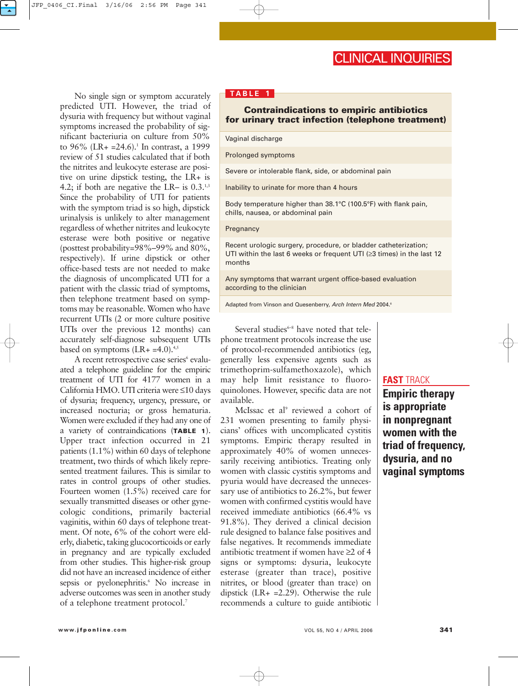### CLINICAL INQUIRIES

No single sign or symptom accurately predicted UTI. However, the triad of dysuria with frequency but without vaginal symptoms increased the probability of significant bacteriuria on culture from 50% to  $96\%$  (LR+ = 24.6).<sup>1</sup> In contrast, a 1999 review of 51 studies calculated that if both the nitrites and leukocyte esterase are positive on urine dipstick testing, the LR+ is 4.2; if both are negative the LR– is  $0.3^{1,3}$ Since the probability of UTI for patients with the symptom triad is so high, dipstick urinalysis is unlikely to alter management regardless of whether nitrites and leukocyte esterase were both positive or negative (posttest probability=98%–99% and 80%, respectively). If urine dipstick or other office-based tests are not needed to make the diagnosis of uncomplicated UTI for a patient with the classic triad of symptoms, then telephone treatment based on symptoms may be reasonable. Women who have recurrent UTIs (2 or more culture positive UTIs over the previous 12 months) can accurately self-diagnose subsequent UTIs based on symptoms  $(LR + =4.0).45$ 

A recent retrospective case series<sup>6</sup> evaluated a telephone guideline for the empiric treatment of UTI for 4177 women in a California HMO. UTI criteria were ≤10 days of dysuria; frequency, urgency, pressure, or increased nocturia; or gross hematuria. Women were excluded if they had any one of a variety of contraindications (**TABLE 1**). Upper tract infection occurred in 21 patients (1.1%) within 60 days of telephone treatment, two thirds of which likely represented treatment failures. This is similar to rates in control groups of other studies. Fourteen women (1.5%) received care for sexually transmitted diseases or other gynecologic conditions, primarily bacterial vaginitis, within 60 days of telephone treatment. Of note, 6% of the cohort were elderly, diabetic, taking glucocorticoids or early in pregnancy and are typically excluded from other studies. This higher-risk group did not have an increased incidence of either sepsis or pyelonephritis.<sup>6</sup> No increase in adverse outcomes was seen in another study of a telephone treatment protocol.7

#### **TABLE 1**

#### **Contraindications to empiric antibiotics for urinary tract infection (telephone treatment)**

Vaginal discharge

Prolonged symptoms

Severe or intolerable flank, side, or abdominal pain

Inability to urinate for more than 4 hours

Body temperature higher than 38.1°C (100.5°F) with flank pain, chills, nausea, or abdominal pain

#### **Pregnancy**

Recent urologic surgery, procedure, or bladder catheterization; UTI within the last 6 weeks or frequent UTI (≥3 times) in the last 12 months

Any symptoms that warrant urgent office-based evaluation according to the clinician

Adapted from Vinson and Quesenberry, Arch Intern Med 2004.6

Several studies $6-8$  have noted that telephone treatment protocols increase the use of protocol-recommended antibiotics (eg, generally less expensive agents such as trimethoprim-sulfamethoxazole), which may help limit resistance to fluoroquinolones. However, specific data are not available.

McIssac et al<sup>9</sup> reviewed a cohort of 231 women presenting to family physicians' offices with uncomplicated cystitis symptoms. Empiric therapy resulted in approximately 40% of women unnecessarily receiving antibiotics. Treating only women with classic cystitis symptoms and pyuria would have decreased the unnecessary use of antibiotics to 26.2%, but fewer women with confirmed cystitis would have received immediate antibiotics (66.4% vs 91.8%). They derived a clinical decision rule designed to balance false positives and false negatives. It recommends immediate antibiotic treatment if women have ≥2 of 4 signs or symptoms: dysuria, leukocyte esterase (greater than trace), positive nitrites, or blood (greater than trace) on dipstick (LR+ =2.29). Otherwise the rule recommends a culture to guide antibiotic

#### **FAST** TRACK

**Empiric therapy is appropriate in nonpregnant women with the triad of frequency, dysuria, and no vaginal symptoms**